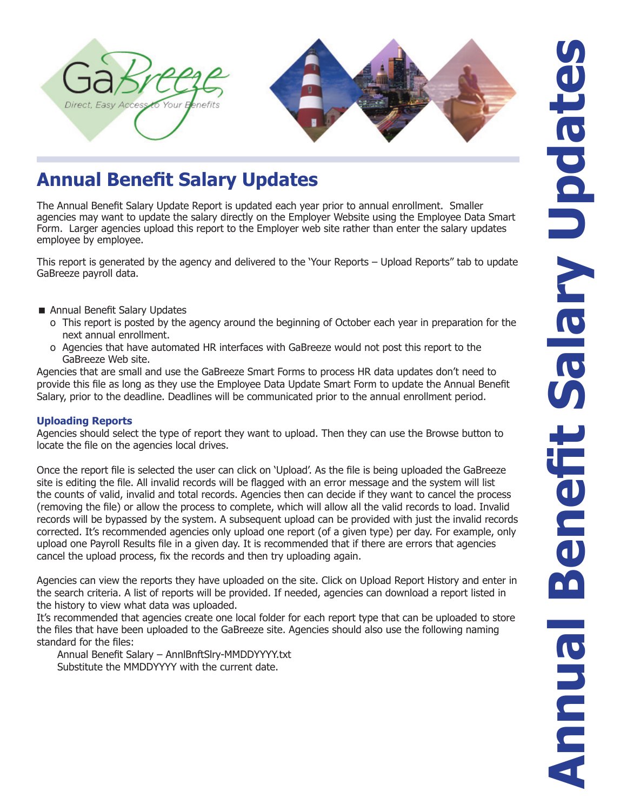

## **Annual Benefit Salary Updates**

The Annual Benefit Salary Update Report is updated each year prior to annual enrollment. Smaller agencies may want to update the salary directly on the Employer Website using the Employee Data Smart Form. Larger agencies upload this report to the Employer web site rather than enter the salary updates employee by employee.

This report is generated by the agency and delivered to the 'Your Reports – Upload Reports" tab to update GaBreeze payroll data.

- Annual Benefit Salary Updates
	- o This report is posted by the agency around the beginning of October each year in preparation for the next annual enrollment.
	- o Agencies that have automated HR interfaces with GaBreeze would not post this report to the GaBreeze Web site.

Agencies that are small and use the GaBreeze Smart Forms to process HR data updates don't need to provide this file as long as they use the Employee Data Update Smart Form to update the Annual Benefit Salary, prior to the deadline. Deadlines will be communicated prior to the annual enrollment period.

## **Uploading Reports**

Agencies should select the type of report they want to upload. Then they can use the Browse button to locate the file on the agencies local drives.

Once the report file is selected the user can click on 'Upload'. As the file is being uploaded the GaBreeze site is editing the file. All invalid records will be flagged with an error message and the system will list the counts of valid, invalid and total records. Agencies then can decide if they want to cancel the process (removing the file) or allow the process to complete, which will allow all the valid records to load. Invalid records will be bypassed by the system. A subsequent upload can be provided with just the invalid records corrected. It's recommended agencies only upload one report (of a given type) per day. For example, only upload one Payroll Results file in a given day. It is recommended that if there are errors that agencies cancel the upload process, fix the records and then try uploading again.

Agencies can view the reports they have uploaded on the site. Click on Upload Report History and enter in the search criteria. A list of reports will be provided. If needed, agencies can download a report listed in the history to view what data was uploaded.

It's recommended that agencies create one local folder for each report type that can be uploaded to store the files that have been uploaded to the GaBreeze site. Agencies should also use the following naming standard for the files:

 Annual Benefit Salary – AnnlBnftSlry-MMDDYYYY.txt Substitute the MMDDYYYY with the current date.